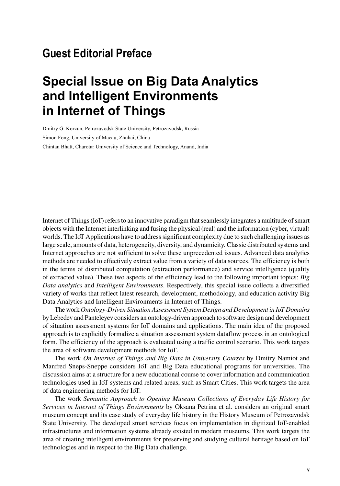## **Guest Editorial Preface**

## **Special Issue on Big Data Analytics and Intelligent Environments in Internet of Things**

Dmitry G. Korzun, Petrozavodsk State University, Petrozavodsk, Russia Simon Fong, University of Macau, Zhuhai, China Chintan Bhatt, Charotar University of Science and Technology, Anand, India

Internet of Things (IoT) refers to an innovative paradigm that seamlessly integrates a multitude of smart objects with the Internet interlinking and fusing the physical (real) and the information (cyber, virtual) worlds. The IoT Applications have to address significant complexity due to such challenging issues as large scale, amounts of data, heterogeneity, diversity, and dynamicity. Classic distributed systems and Internet approaches are not sufficient to solve these unprecedented issues. Advanced data analytics methods are needed to effectively extract value from a variety of data sources. The efficiency is both in the terms of distributed computation (extraction performance) and service intelligence (quality of extracted value). These two aspects of the efficiency lead to the following important topics: *Big Data analytics* and *Intelligent Environments*. Respectively, this special issue collects a diversified variety of works that reflect latest research, development, methodology, and education activity Big Data Analytics and Intelligent Environments in Internet of Things.

The work *Ontology-Driven Situation Assessment System Design and Development in IoT Domains* by Lebedev and Panteleyev considers an ontology-driven approach to software design and development of situation assessment systems for IoT domains and applications. The main idea of the proposed approach is to explicitly formalize a situation assessment system dataflow process in an ontological form. The efficiency of the approach is evaluated using a traffic control scenario. This work targets the area of software development methods for IoT.

The work *On Internet of Things and Big Data in University Courses* by Dmitry Namiot and Manfred Sneps-Sneppe considers IoT and Big Data educational programs for universities. The discussion aims at a structure for a new educational course to cover information and communication technologies used in IoT systems and related areas, such as Smart Cities. This work targets the area of data engineering methods for IoT.

The work *Semantic Approach to Opening Museum Collections of Everyday Life History for Services in Internet of Things Environments* by Oksana Petrina et al. considers an original smart museum concept and its case study of everyday life history in the History Museum of Petrozavodsk State University. The developed smart services focus on implementation in digitized IoT-enabled infrastructures and information systems already existed in modern museums. This work targets the area of creating intelligent environments for preserving and studying cultural heritage based on IoT technologies and in respect to the Big Data challenge.